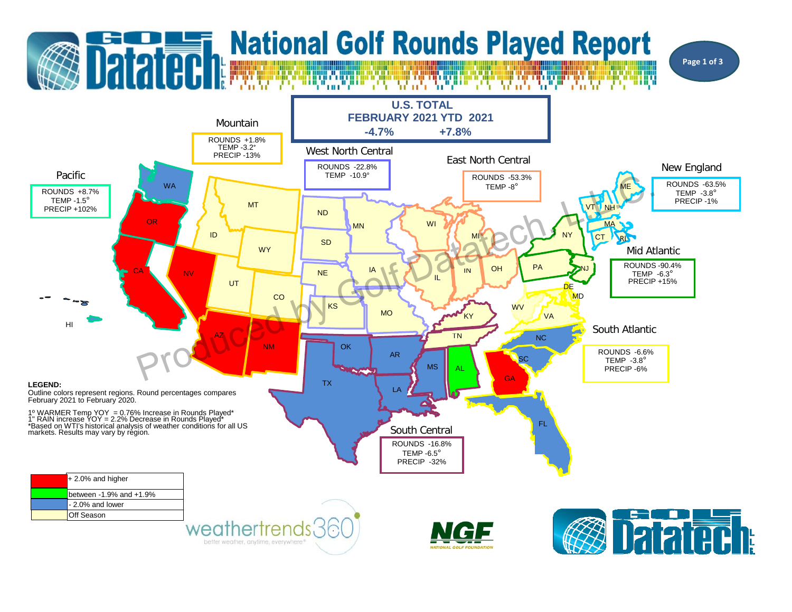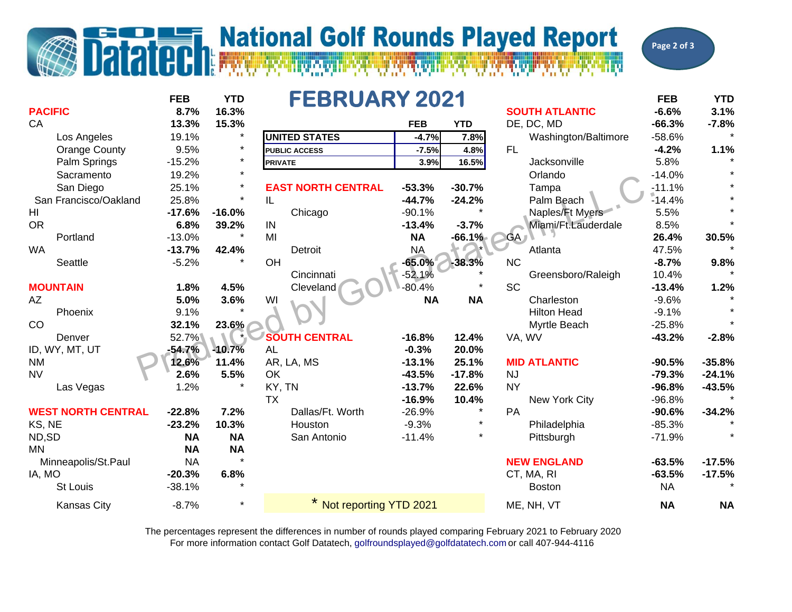## **Datatech National Golf Rounds Played Report**

**Page 2 of 3**

| <b>PACIFIC</b>            | <b>FEB</b><br>8.7% | <b>YTD</b><br>16.3% | <b>FEBRUARY 2021</b><br><b>SOUTH ATLANTIC</b> |            |            |           |                      | <b>FEB</b><br>$-6.6%$ | <b>YTD</b><br>3.1% |
|---------------------------|--------------------|---------------------|-----------------------------------------------|------------|------------|-----------|----------------------|-----------------------|--------------------|
| CA                        | 13.3%              | 15.3%               |                                               | <b>FEB</b> | <b>YTD</b> |           | DE, DC, MD           | $-66.3%$              | $-7.8%$            |
| Los Angeles               | 19.1%              | $\star$             | <b>UNITED STATES</b>                          | $-4.7%$    | 7.8%       |           | Washington/Baltimore | $-58.6%$              |                    |
| <b>Orange County</b>      | 9.5%               | $\star$             | <b>PUBLIC ACCESS</b>                          | $-7.5%$    | 4.8%       | FL        |                      | $-4.2%$               | 1.1%               |
| Palm Springs              | $-15.2%$           | $\star$             | <b>PRIVATE</b>                                | 3.9%       | 16.5%      |           | Jacksonville         | 5.8%                  |                    |
| Sacramento                | 19.2%              | $\star$             |                                               |            |            |           | Orlando              | $-14.0%$              |                    |
| San Diego                 | 25.1%              | $\ast$              | <b>EAST NORTH CENTRAL</b>                     | $-53.3%$   | $-30.7%$   |           | Tampa                | $-11.1%$              |                    |
| San Francisco/Oakland     | 25.8%              | $\star$             | IL                                            | $-44.7%$   | $-24.2%$   |           | Palm Beach           | $-14.4%$              |                    |
| HI                        | $-17.6%$           | $-16.0%$            | Chicago                                       | $-90.1%$   |            |           | Naples/Ft Myers      | 5.5%                  |                    |
| <b>OR</b>                 | 6.8%               | 39.2%               | IN                                            | $-13.4%$   | $-3.7%$    |           | Miami/Ft.Lauderdale  | 8.5%                  |                    |
| Portland                  | $-13.0%$           | $\star$             | MI                                            | <b>NA</b>  | $-66.1%$   | $-GA$     |                      | 26.4%                 | 30.5%              |
| <b>WA</b>                 | $-13.7%$           | 42.4%               | Detroit                                       | <b>NA</b>  |            |           | Atlanta              | 47.5%                 |                    |
| Seattle                   | $-5.2%$            |                     | OH                                            | $-65.0%$   | $-38.3%$   | <b>NC</b> |                      | $-8.7%$               | 9.8%               |
|                           |                    |                     | Cincinnati                                    | $-52.1%$   |            |           | Greensboro/Raleigh   | 10.4%                 |                    |
| <b>MOUNTAIN</b>           | 1.8%               | 4.5%                | Cleveland                                     | $-80.4%$   |            | <b>SC</b> |                      | $-13.4%$              | 1.2%               |
| AΖ                        | 5.0%               | 3.6%                | WI                                            | <b>NA</b>  | <b>NA</b>  |           | Charleston           | $-9.6%$               |                    |
| Phoenix                   | 9.1%               |                     |                                               |            |            |           | <b>Hilton Head</b>   | $-9.1%$               |                    |
| CO                        | 32.1%              | 23.6%               |                                               |            |            |           | Myrtle Beach         | $-25.8%$              |                    |
| Denver                    | 52.7%              | $\star$             | <b>SOUTH CENTRAL</b>                          | $-16.8%$   | 12.4%      | VA, WV    |                      | $-43.2%$              | $-2.8%$            |
| ID, WY, MT, UT            | $-54.7%$           | $-10.7%$            | <b>AL</b>                                     | $-0.3%$    | 20.0%      |           |                      |                       |                    |
| <b>NM</b>                 | 12.6%              | 11.4%               | AR, LA, MS                                    | $-13.1%$   | 25.1%      |           | <b>MID ATLANTIC</b>  | $-90.5%$              | $-35.8%$           |
| <b>NV</b>                 | 2.6%               | 5.5%                | OK                                            | $-43.5%$   | $-17.8%$   | <b>NJ</b> |                      | $-79.3%$              | $-24.1%$           |
| Las Vegas                 | 1.2%               | $\star$             | KY, TN                                        | $-13.7%$   | 22.6%      | <b>NY</b> |                      | $-96.8%$              | $-43.5%$           |
|                           |                    |                     | <b>TX</b>                                     | $-16.9%$   | 10.4%      |           | New York City        | $-96.8%$              |                    |
| <b>WEST NORTH CENTRAL</b> | $-22.8%$           | 7.2%                | Dallas/Ft. Worth                              | $-26.9%$   | $\star$    | PA        |                      | $-90.6%$              | $-34.2%$           |
| KS, NE                    | $-23.2%$           | 10.3%               | Houston                                       | $-9.3%$    | $\star$    |           | Philadelphia         | $-85.3%$              |                    |
| ND,SD                     | <b>NA</b>          | <b>NA</b>           | San Antonio                                   | $-11.4%$   |            |           | Pittsburgh           | $-71.9%$              |                    |
| <b>MN</b>                 | <b>NA</b>          | <b>NA</b>           |                                               |            |            |           |                      |                       |                    |
| Minneapolis/St.Paul       | <b>NA</b>          |                     |                                               |            |            |           | <b>NEW ENGLAND</b>   | $-63.5%$              | $-17.5%$           |
| IA, MO                    | $-20.3%$           | 6.8%                |                                               |            |            |           | CT, MA, RI           | $-63.5%$              | $-17.5%$           |
| <b>St Louis</b>           | $-38.1%$           |                     |                                               |            |            |           | <b>Boston</b>        | <b>NA</b>             |                    |
| <b>Kansas City</b>        | $-8.7%$            | $\star$             | Not reporting YTD 2021                        |            |            |           | ME, NH, VT           | <b>NA</b>             | <b>NA</b>          |

For more information contact Golf Datatech, golfroundsplayed@golfdatatech.com or call 407-944-4116 The percentages represent the differences in number of rounds played comparing February 2021 to February 2020